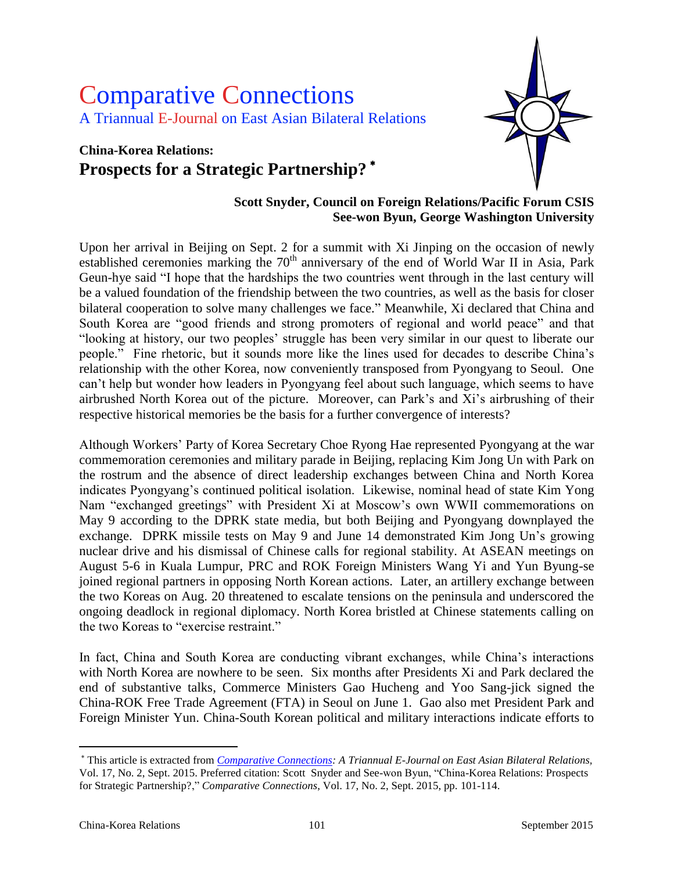# Comparative Connections A Triannual E-Journal on East Asian Bilateral Relations

# **China-Korea Relations: Prospects for a Strategic Partnership?**



## **Scott Snyder, Council on Foreign Relations/Pacific Forum CSIS See-won Byun, George Washington University**

Upon her arrival in Beijing on Sept. 2 for a summit with Xi Jinping on the occasion of newly established ceremonies marking the  $70<sup>th</sup>$  anniversary of the end of World War II in Asia, Park Geun-hye said "I hope that the hardships the two countries went through in the last century will be a valued foundation of the friendship between the two countries, as well as the basis for closer bilateral cooperation to solve many challenges we face." Meanwhile, Xi declared that China and South Korea are "good friends and strong promoters of regional and world peace" and that "looking at history, our two peoples' struggle has been very similar in our quest to liberate our people." Fine rhetoric, but it sounds more like the lines used for decades to describe China's relationship with the other Korea, now conveniently transposed from Pyongyang to Seoul. One can't help but wonder how leaders in Pyongyang feel about such language, which seems to have airbrushed North Korea out of the picture. Moreover, can Park's and Xi's airbrushing of their respective historical memories be the basis for a further convergence of interests?

Although Workers' Party of Korea Secretary Choe Ryong Hae represented Pyongyang at the war commemoration ceremonies and military parade in Beijing, replacing Kim Jong Un with Park on the rostrum and the absence of direct leadership exchanges between China and North Korea indicates Pyongyang's continued political isolation. Likewise, nominal head of state Kim Yong Nam "exchanged greetings" with President Xi at Moscow's own WWII commemorations on May 9 according to the DPRK state media, but both Beijing and Pyongyang downplayed the exchange. DPRK missile tests on May 9 and June 14 demonstrated Kim Jong Un's growing nuclear drive and his dismissal of Chinese calls for regional stability. At ASEAN meetings on August 5-6 in Kuala Lumpur, PRC and ROK Foreign Ministers Wang Yi and Yun Byung-se joined regional partners in opposing North Korean actions. Later, an artillery exchange between the two Koreas on Aug. 20 threatened to escalate tensions on the peninsula and underscored the ongoing deadlock in regional diplomacy. North Korea bristled at Chinese statements calling on the two Koreas to "exercise restraint."

In fact, China and South Korea are conducting vibrant exchanges, while China's interactions with North Korea are nowhere to be seen. Six months after Presidents Xi and Park declared the end of substantive talks, Commerce Ministers Gao Hucheng and Yoo Sang-jick signed the China-ROK Free Trade Agreement (FTA) in Seoul on June 1. Gao also met President Park and Foreign Minister Yun. China-South Korean political and military interactions indicate efforts to

 $\overline{a}$ 

This article is extracted from *[Comparative Connections:](http://csis.org/program/comparative-connections) A Triannual E-Journal on East Asian Bilateral Relations,*  Vol. 17, No. 2, Sept. 2015. Preferred citation: Scott Snyder and See-won Byun, "China-Korea Relations: Prospects for Strategic Partnership?," *Comparative Connections*, Vol. 17, No. 2, Sept. 2015, pp. 101-114.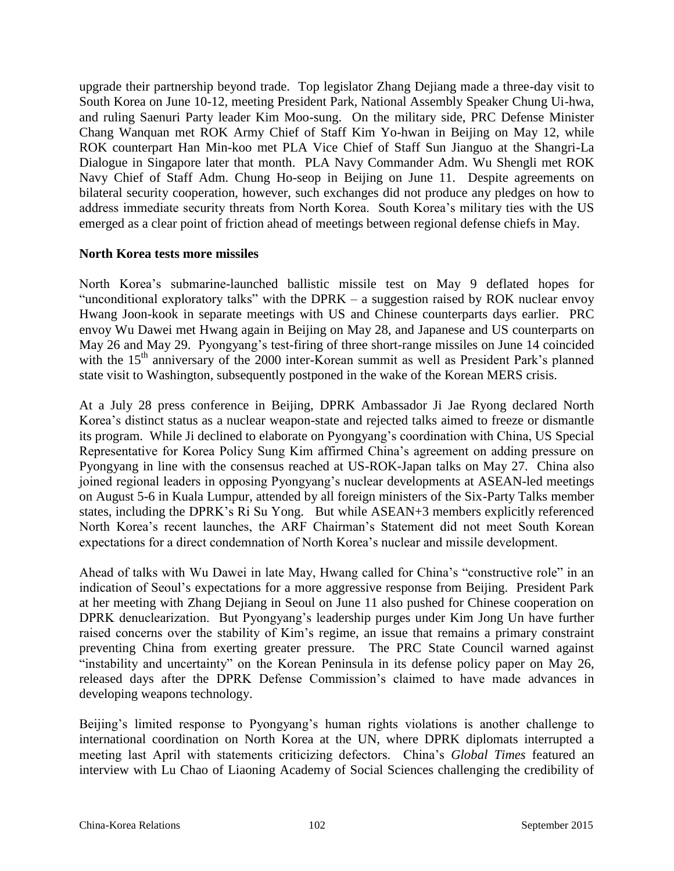upgrade their partnership beyond trade. Top legislator Zhang Dejiang made a three-day visit to South Korea on June 10-12, meeting President Park, National Assembly Speaker Chung Ui-hwa, and ruling Saenuri Party leader Kim Moo-sung. On the military side, PRC Defense Minister Chang Wanquan met ROK Army Chief of Staff Kim Yo-hwan in Beijing on May 12, while ROK counterpart Han Min-koo met PLA Vice Chief of Staff Sun Jianguo at the Shangri-La Dialogue in Singapore later that month. PLA Navy Commander Adm. Wu Shengli met ROK Navy Chief of Staff Adm. Chung Ho-seop in Beijing on June 11. Despite agreements on bilateral security cooperation, however, such exchanges did not produce any pledges on how to address immediate security threats from North Korea. South Korea's military ties with the US emerged as a clear point of friction ahead of meetings between regional defense chiefs in May.

#### **North Korea tests more missiles**

North Korea's submarine-launched ballistic missile test on May 9 deflated hopes for "unconditional exploratory talks" with the DPRK – a suggestion raised by ROK nuclear envoy Hwang Joon-kook in separate meetings with US and Chinese counterparts days earlier. PRC envoy Wu Dawei met Hwang again in Beijing on May 28, and Japanese and US counterparts on May 26 and May 29. Pyongyang's test-firing of three short-range missiles on June 14 coincided with the 15<sup>th</sup> anniversary of the 2000 inter-Korean summit as well as President Park's planned state visit to Washington, subsequently postponed in the wake of the Korean MERS crisis.

At a July 28 press conference in Beijing, DPRK Ambassador Ji Jae Ryong declared North Korea's distinct status as a nuclear weapon-state and rejected talks aimed to freeze or dismantle its program. While Ji declined to elaborate on Pyongyang's coordination with China, US Special Representative for Korea Policy Sung Kim affirmed China's agreement on adding pressure on Pyongyang in line with the consensus reached at US-ROK-Japan talks on May 27. China also joined regional leaders in opposing Pyongyang's nuclear developments at ASEAN-led meetings on August 5-6 in Kuala Lumpur, attended by all foreign ministers of the Six-Party Talks member states, including the DPRK's Ri Su Yong. But while ASEAN+3 members explicitly referenced North Korea's recent launches, the ARF Chairman's Statement did not meet South Korean expectations for a direct condemnation of North Korea's nuclear and missile development.

Ahead of talks with Wu Dawei in late May, Hwang called for China's "constructive role" in an indication of Seoul's expectations for a more aggressive response from Beijing. President Park at her meeting with Zhang Dejiang in Seoul on June 11 also pushed for Chinese cooperation on DPRK denuclearization. But Pyongyang's leadership purges under Kim Jong Un have further raised concerns over the stability of Kim's regime, an issue that remains a primary constraint preventing China from exerting greater pressure. The PRC State Council warned against "instability and uncertainty" on the Korean Peninsula in its defense policy paper on May 26, released days after the DPRK Defense Commission's claimed to have made advances in developing weapons technology.

Beijing's limited response to Pyongyang's human rights violations is another challenge to international coordination on North Korea at the UN, where DPRK diplomats interrupted a meeting last April with statements criticizing defectors. China's *Global Times* featured an interview with Lu Chao of Liaoning Academy of Social Sciences challenging the credibility of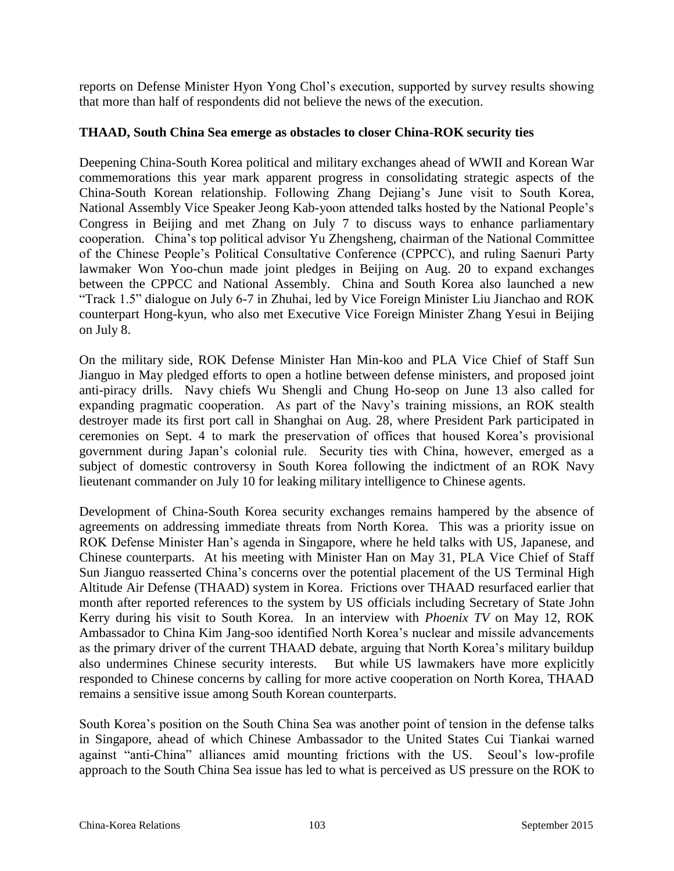reports on Defense Minister Hyon Yong Chol's execution, supported by survey results showing that more than half of respondents did not believe the news of the execution.

## **THAAD, South China Sea emerge as obstacles to closer China-ROK security ties**

Deepening China-South Korea political and military exchanges ahead of WWII and Korean War commemorations this year mark apparent progress in consolidating strategic aspects of the China-South Korean relationship. Following Zhang Dejiang's June visit to South Korea, National Assembly Vice Speaker Jeong Kab-yoon attended talks hosted by the National People's Congress in Beijing and met Zhang on July 7 to discuss ways to enhance parliamentary cooperation. China's top political advisor Yu Zhengsheng, chairman of the National Committee of the Chinese People's Political Consultative Conference (CPPCC), and ruling Saenuri Party lawmaker Won Yoo-chun made joint pledges in Beijing on Aug. 20 to expand exchanges between the CPPCC and National Assembly. China and South Korea also launched a new "Track 1.5" dialogue on July 6-7 in Zhuhai, led by Vice Foreign Minister Liu Jianchao and ROK counterpart Hong-kyun, who also met Executive Vice Foreign Minister Zhang Yesui in Beijing on July 8.

On the military side, ROK Defense Minister Han Min-koo and PLA Vice Chief of Staff Sun Jianguo in May pledged efforts to open a hotline between defense ministers, and proposed joint anti-piracy drills. Navy chiefs Wu Shengli and Chung Ho-seop on June 13 also called for expanding pragmatic cooperation. As part of the Navy's training missions, an ROK stealth destroyer made its first port call in Shanghai on Aug. 28, where President Park participated in ceremonies on Sept. 4 to mark the preservation of offices that housed Korea's provisional government during Japan's colonial rule. Security ties with China, however, emerged as a subject of domestic controversy in South Korea following the indictment of an ROK Navy lieutenant commander on July 10 for leaking military intelligence to Chinese agents.

Development of China-South Korea security exchanges remains hampered by the absence of agreements on addressing immediate threats from North Korea. This was a priority issue on ROK Defense Minister Han's agenda in Singapore, where he held talks with US, Japanese, and Chinese counterparts. At his meeting with Minister Han on May 31, PLA Vice Chief of Staff Sun Jianguo reasserted China's concerns over the potential placement of the US Terminal High Altitude Air Defense (THAAD) system in Korea. Frictions over THAAD resurfaced earlier that month after reported references to the system by US officials including Secretary of State John Kerry during his visit to South Korea. In an interview with *Phoenix TV* on May 12, ROK Ambassador to China Kim Jang-soo identified North Korea's nuclear and missile advancements as the primary driver of the current THAAD debate, arguing that North Korea's military buildup also undermines Chinese security interests. But while US lawmakers have more explicitly responded to Chinese concerns by calling for more active cooperation on North Korea, THAAD remains a sensitive issue among South Korean counterparts.

South Korea's position on the South China Sea was another point of tension in the defense talks in Singapore, ahead of which Chinese Ambassador to the United States Cui Tiankai warned against "anti-China" alliances amid mounting frictions with the US. Seoul's low-profile approach to the South China Sea issue has led to what is perceived as US pressure on the ROK to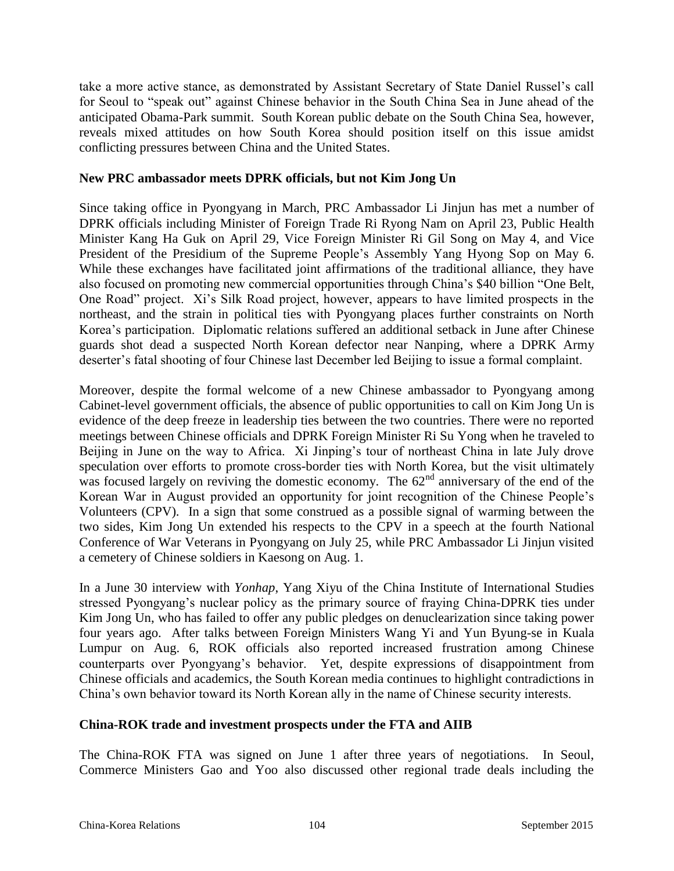take a more active stance, as demonstrated by Assistant Secretary of State Daniel Russel's call for Seoul to "speak out" against Chinese behavior in the South China Sea in June ahead of the anticipated Obama-Park summit. South Korean public debate on the South China Sea, however, reveals mixed attitudes on how South Korea should position itself on this issue amidst conflicting pressures between China and the United States.

## **New PRC ambassador meets DPRK officials, but not Kim Jong Un**

Since taking office in Pyongyang in March, PRC Ambassador Li Jinjun has met a number of DPRK officials including Minister of Foreign Trade Ri Ryong Nam on April 23, Public Health Minister Kang Ha Guk on April 29, Vice Foreign Minister Ri Gil Song on May 4, and Vice President of the Presidium of the Supreme People's Assembly Yang Hyong Sop on May 6. While these exchanges have facilitated joint affirmations of the traditional alliance, they have also focused on promoting new commercial opportunities through China's \$40 billion "One Belt, One Road" project. Xi's Silk Road project, however, appears to have limited prospects in the northeast, and the strain in political ties with Pyongyang places further constraints on North Korea's participation. Diplomatic relations suffered an additional setback in June after Chinese guards shot dead a suspected North Korean defector near Nanping, where a DPRK Army deserter's fatal shooting of four Chinese last December led Beijing to issue a formal complaint.

Moreover, despite the formal welcome of a new Chinese ambassador to Pyongyang among Cabinet-level government officials, the absence of public opportunities to call on Kim Jong Un is evidence of the deep freeze in leadership ties between the two countries. There were no reported meetings between Chinese officials and DPRK Foreign Minister Ri Su Yong when he traveled to Beijing in June on the way to Africa. Xi Jinping's tour of northeast China in late July drove speculation over efforts to promote cross-border ties with North Korea, but the visit ultimately was focused largely on reviving the domestic economy. The  $62<sup>nd</sup>$  anniversary of the end of the Korean War in August provided an opportunity for joint recognition of the Chinese People's Volunteers (CPV). In a sign that some construed as a possible signal of warming between the two sides, Kim Jong Un extended his respects to the CPV in a speech at the fourth National Conference of War Veterans in Pyongyang on July 25, while PRC Ambassador Li Jinjun visited a cemetery of Chinese soldiers in Kaesong on Aug. 1.

In a June 30 interview with *Yonhap*, Yang Xiyu of the China Institute of International Studies stressed Pyongyang's nuclear policy as the primary source of fraying China-DPRK ties under Kim Jong Un, who has failed to offer any public pledges on denuclearization since taking power four years ago. After talks between Foreign Ministers Wang Yi and Yun Byung-se in Kuala Lumpur on Aug. 6, ROK officials also reported increased frustration among Chinese counterparts over Pyongyang's behavior. Yet, despite expressions of disappointment from Chinese officials and academics, the South Korean media continues to highlight contradictions in China's own behavior toward its North Korean ally in the name of Chinese security interests.

# **China-ROK trade and investment prospects under the FTA and AIIB**

The China-ROK FTA was signed on June 1 after three years of negotiations. In Seoul, Commerce Ministers Gao and Yoo also discussed other regional trade deals including the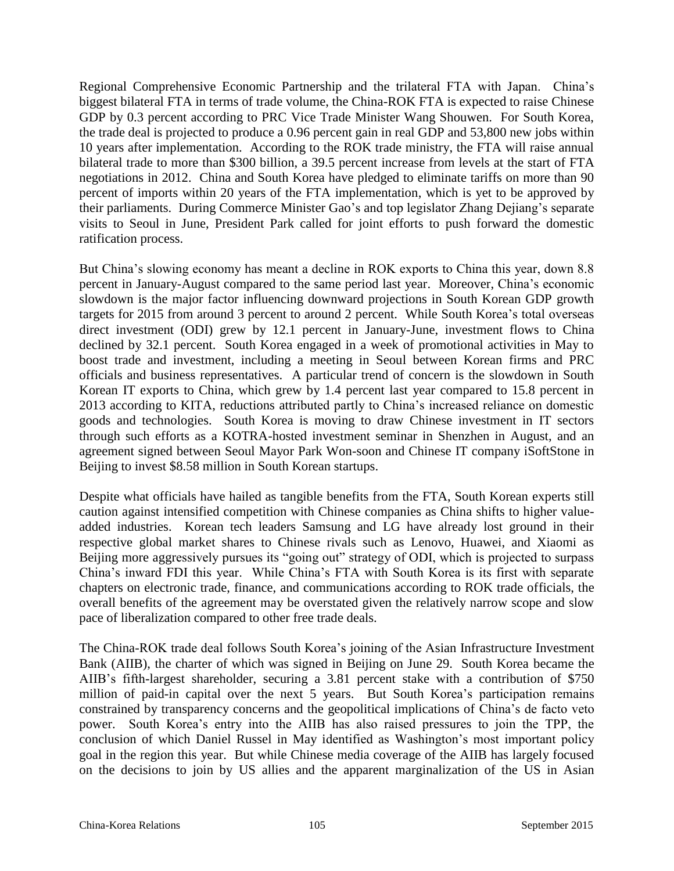Regional Comprehensive Economic Partnership and the trilateral FTA with Japan. China's biggest bilateral FTA in terms of trade volume, the China-ROK FTA is expected to raise Chinese GDP by 0.3 percent according to PRC Vice Trade Minister Wang Shouwen. For South Korea, the trade deal is projected to produce a 0.96 percent gain in real GDP and 53,800 new jobs within 10 years after implementation. According to the ROK trade ministry, the FTA will raise annual bilateral trade to more than \$300 billion, a 39.5 percent increase from levels at the start of FTA negotiations in 2012. China and South Korea have pledged to eliminate tariffs on more than 90 percent of imports within 20 years of the FTA implementation, which is yet to be approved by their parliaments. During Commerce Minister Gao's and top legislator Zhang Dejiang's separate visits to Seoul in June, President Park called for joint efforts to push forward the domestic ratification process.

But China's slowing economy has meant a decline in ROK exports to China this year, down 8.8 percent in January-August compared to the same period last year. Moreover, China's economic slowdown is the major factor influencing downward projections in South Korean GDP growth targets for 2015 from around 3 percent to around 2 percent. While South Korea's total overseas direct investment (ODI) grew by 12.1 percent in January-June, investment flows to China declined by 32.1 percent. South Korea engaged in a week of promotional activities in May to boost trade and investment, including a meeting in Seoul between Korean firms and PRC officials and business representatives. A particular trend of concern is the slowdown in South Korean IT exports to China, which grew by 1.4 percent last year compared to 15.8 percent in 2013 according to KITA, reductions attributed partly to China's increased reliance on domestic goods and technologies. South Korea is moving to draw Chinese investment in IT sectors through such efforts as a KOTRA-hosted investment seminar in Shenzhen in August, and an agreement signed between Seoul Mayor Park Won-soon and Chinese IT company iSoftStone in Beijing to invest \$8.58 million in South Korean startups.

Despite what officials have hailed as tangible benefits from the FTA, South Korean experts still caution against intensified competition with Chinese companies as China shifts to higher valueadded industries. Korean tech leaders Samsung and LG have already lost ground in their respective global market shares to Chinese rivals such as Lenovo, Huawei, and Xiaomi as Beijing more aggressively pursues its "going out" strategy of ODI, which is projected to surpass China's inward FDI this year. While China's FTA with South Korea is its first with separate chapters on electronic trade, finance, and communications according to ROK trade officials, the overall benefits of the agreement may be overstated given the relatively narrow scope and slow pace of liberalization compared to other free trade deals.

The China-ROK trade deal follows South Korea's joining of the Asian Infrastructure Investment Bank (AIIB), the charter of which was signed in Beijing on June 29. South Korea became the AIIB's fifth-largest shareholder, securing a 3.81 percent stake with a contribution of \$750 million of paid-in capital over the next 5 years. But South Korea's participation remains constrained by transparency concerns and the geopolitical implications of China's de facto veto power. South Korea's entry into the AIIB has also raised pressures to join the TPP, the conclusion of which Daniel Russel in May identified as Washington's most important policy goal in the region this year. But while Chinese media coverage of the AIIB has largely focused on the decisions to join by US allies and the apparent marginalization of the US in Asian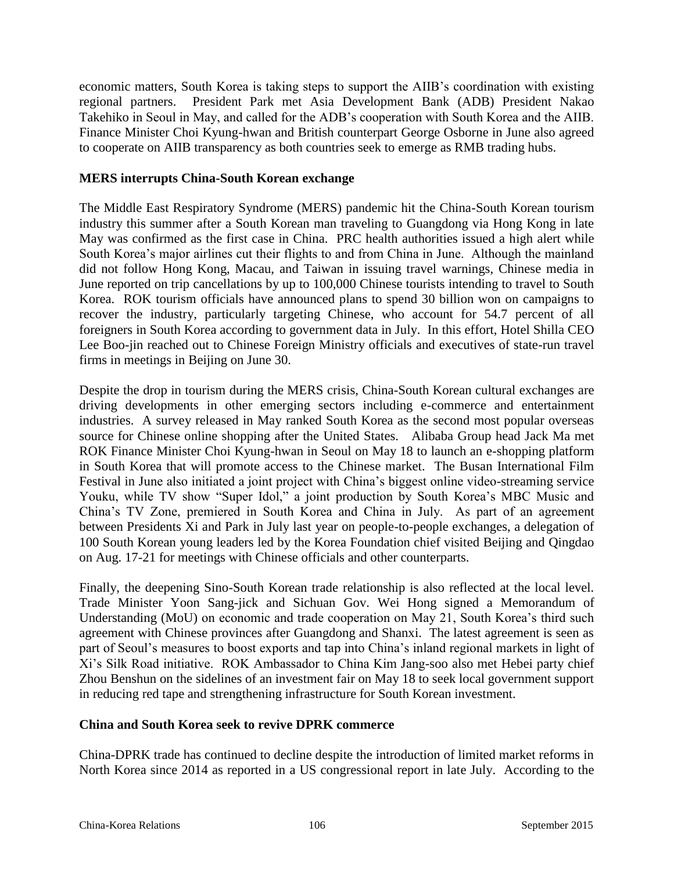economic matters, South Korea is taking steps to support the AIIB's coordination with existing regional partners. President Park met Asia Development Bank (ADB) President Nakao Takehiko in Seoul in May, and called for the ADB's cooperation with South Korea and the AIIB. Finance Minister Choi Kyung-hwan and British counterpart George Osborne in June also agreed to cooperate on AIIB transparency as both countries seek to emerge as RMB trading hubs.

## **MERS interrupts China-South Korean exchange**

The Middle East Respiratory Syndrome (MERS) pandemic hit the China-South Korean tourism industry this summer after a South Korean man traveling to Guangdong via Hong Kong in late May was confirmed as the first case in China. PRC health authorities issued a high alert while South Korea's major airlines cut their flights to and from China in June. Although the mainland did not follow Hong Kong, Macau, and Taiwan in issuing travel warnings, Chinese media in June reported on trip cancellations by up to 100,000 Chinese tourists intending to travel to South Korea. ROK tourism officials have announced plans to spend 30 billion won on campaigns to recover the industry, particularly targeting Chinese, who account for 54.7 percent of all foreigners in South Korea according to government data in July. In this effort, Hotel Shilla CEO Lee Boo-jin reached out to Chinese Foreign Ministry officials and executives of state-run travel firms in meetings in Beijing on June 30.

Despite the drop in tourism during the MERS crisis, China-South Korean cultural exchanges are driving developments in other emerging sectors including e-commerce and entertainment industries. A survey released in May ranked South Korea as the second most popular overseas source for Chinese online shopping after the United States. Alibaba Group head Jack Ma met ROK Finance Minister Choi Kyung-hwan in Seoul on May 18 to launch an e-shopping platform in South Korea that will promote access to the Chinese market. The Busan International Film Festival in June also initiated a joint project with China's biggest online video-streaming service Youku, while TV show "Super Idol," a joint production by South Korea's MBC Music and China's TV Zone, premiered in South Korea and China in July. As part of an agreement between Presidents Xi and Park in July last year on people-to-people exchanges, a delegation of 100 South Korean young leaders led by the Korea Foundation chief visited Beijing and Qingdao on Aug. 17-21 for meetings with Chinese officials and other counterparts.

Finally, the deepening Sino-South Korean trade relationship is also reflected at the local level. Trade Minister Yoon Sang-jick and Sichuan Gov. Wei Hong signed a Memorandum of Understanding (MoU) on economic and trade cooperation on May 21, South Korea's third such agreement with Chinese provinces after Guangdong and Shanxi. The latest agreement is seen as part of Seoul's measures to boost exports and tap into China's inland regional markets in light of Xi's Silk Road initiative. ROK Ambassador to China Kim Jang-soo also met Hebei party chief Zhou Benshun on the sidelines of an investment fair on May 18 to seek local government support in reducing red tape and strengthening infrastructure for South Korean investment.

# **China and South Korea seek to revive DPRK commerce**

China-DPRK trade has continued to decline despite the introduction of limited market reforms in North Korea since 2014 as reported in a US congressional report in late July. According to the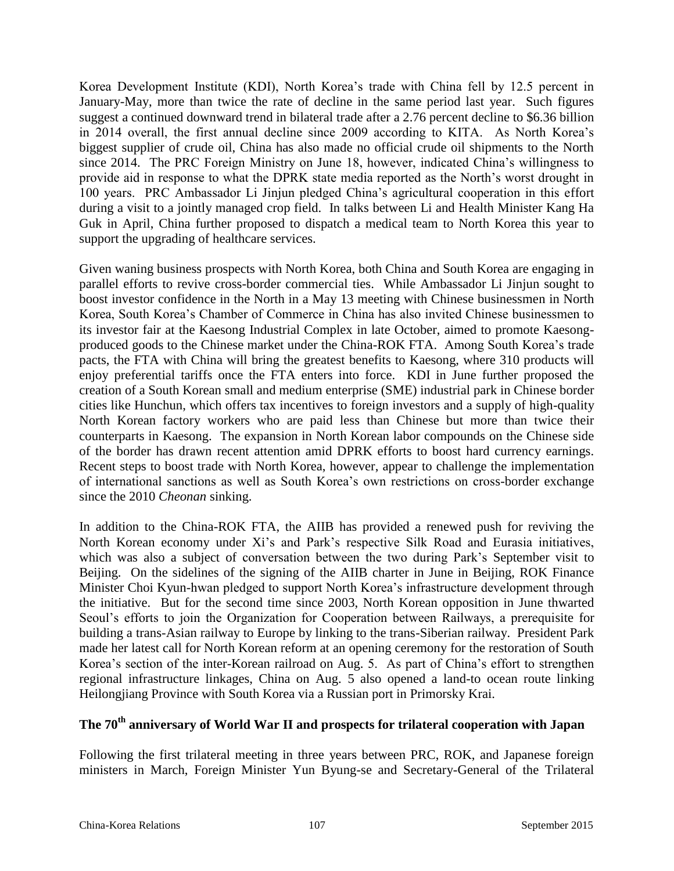Korea Development Institute (KDI), North Korea's trade with China fell by 12.5 percent in January-May, more than twice the rate of decline in the same period last year. Such figures suggest a continued downward trend in bilateral trade after a 2.76 percent decline to \$6.36 billion in 2014 overall, the first annual decline since 2009 according to KITA. As North Korea's biggest supplier of crude oil, China has also made no official crude oil shipments to the North since 2014. The PRC Foreign Ministry on June 18, however, indicated China's willingness to provide aid in response to what the DPRK state media reported as the North's worst drought in 100 years. PRC Ambassador Li Jinjun pledged China's agricultural cooperation in this effort during a visit to a jointly managed crop field. In talks between Li and Health Minister Kang Ha Guk in April, China further proposed to dispatch a medical team to North Korea this year to support the upgrading of healthcare services.

Given waning business prospects with North Korea, both China and South Korea are engaging in parallel efforts to revive cross-border commercial ties. While Ambassador Li Jinjun sought to boost investor confidence in the North in a May 13 meeting with Chinese businessmen in North Korea, South Korea's Chamber of Commerce in China has also invited Chinese businessmen to its investor fair at the Kaesong Industrial Complex in late October, aimed to promote Kaesongproduced goods to the Chinese market under the China-ROK FTA. Among South Korea's trade pacts, the FTA with China will bring the greatest benefits to Kaesong, where 310 products will enjoy preferential tariffs once the FTA enters into force. KDI in June further proposed the creation of a South Korean small and medium enterprise (SME) industrial park in Chinese border cities like Hunchun, which offers tax incentives to foreign investors and a supply of high-quality North Korean factory workers who are paid less than Chinese but more than twice their counterparts in Kaesong. The expansion in North Korean labor compounds on the Chinese side of the border has drawn recent attention amid DPRK efforts to boost hard currency earnings. Recent steps to boost trade with North Korea, however, appear to challenge the implementation of international sanctions as well as South Korea's own restrictions on cross-border exchange since the 2010 *Cheonan* sinking.

In addition to the China-ROK FTA, the AIIB has provided a renewed push for reviving the North Korean economy under Xi's and Park's respective Silk Road and Eurasia initiatives, which was also a subject of conversation between the two during Park's September visit to Beijing. On the sidelines of the signing of the AIIB charter in June in Beijing, ROK Finance Minister Choi Kyun-hwan pledged to support North Korea's infrastructure development through the initiative. But for the second time since 2003, North Korean opposition in June thwarted Seoul's efforts to join the Organization for Cooperation between Railways, a prerequisite for building a trans-Asian railway to Europe by linking to the trans-Siberian railway. President Park made her latest call for North Korean reform at an opening ceremony for the restoration of South Korea's section of the inter-Korean railroad on Aug. 5. As part of China's effort to strengthen regional infrastructure linkages, China on Aug. 5 also opened a land-to ocean route linking Heilongjiang Province with South Korea via a Russian port in Primorsky Krai.

# **The 70th anniversary of World War II and prospects for trilateral cooperation with Japan**

Following the first trilateral meeting in three years between PRC, ROK, and Japanese foreign ministers in March, Foreign Minister Yun Byung-se and Secretary-General of the Trilateral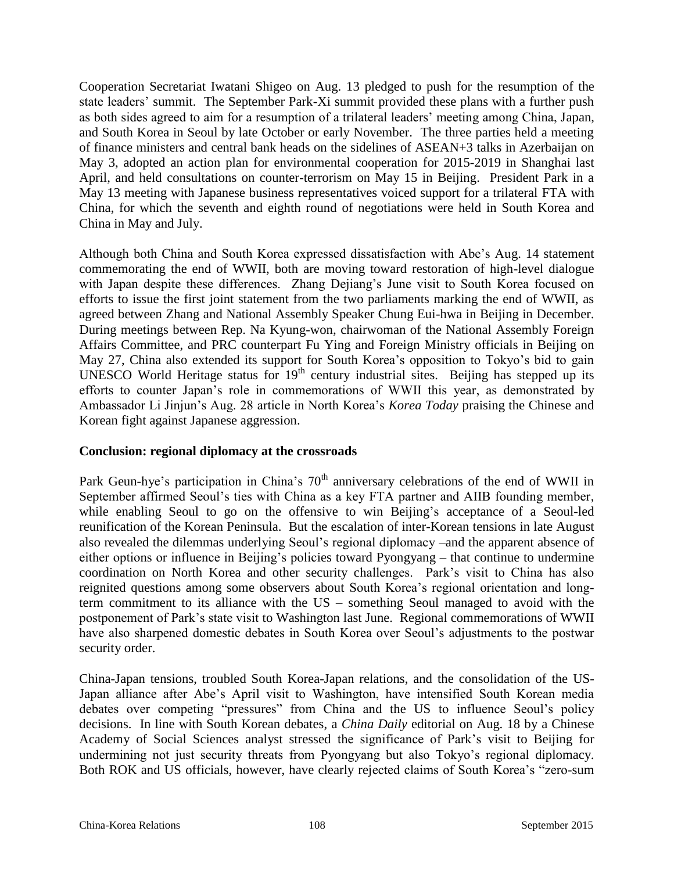Cooperation Secretariat Iwatani Shigeo on Aug. 13 pledged to push for the resumption of the state leaders' summit. The September Park-Xi summit provided these plans with a further push as both sides agreed to aim for a resumption of a trilateral leaders' meeting among China, Japan, and South Korea in Seoul by late October or early November. The three parties held a meeting of finance ministers and central bank heads on the sidelines of ASEAN+3 talks in Azerbaijan on May 3, adopted an action plan for environmental cooperation for 2015-2019 in Shanghai last April, and held consultations on counter-terrorism on May 15 in Beijing. President Park in a May 13 meeting with Japanese business representatives voiced support for a trilateral FTA with China, for which the seventh and eighth round of negotiations were held in South Korea and China in May and July.

Although both China and South Korea expressed dissatisfaction with Abe's Aug. 14 statement commemorating the end of WWII, both are moving toward restoration of high-level dialogue with Japan despite these differences. Zhang Dejiang's June visit to South Korea focused on efforts to issue the first joint statement from the two parliaments marking the end of WWII, as agreed between Zhang and National Assembly Speaker Chung Eui-hwa in Beijing in December. During meetings between Rep. Na Kyung-won, chairwoman of the National Assembly Foreign Affairs Committee, and PRC counterpart Fu Ying and Foreign Ministry officials in Beijing on May 27, China also extended its support for South Korea's opposition to Tokyo's bid to gain UNESCO World Heritage status for  $19<sup>th</sup>$  century industrial sites. Beijing has stepped up its efforts to counter Japan's role in commemorations of WWII this year, as demonstrated by Ambassador Li Jinjun's Aug. 28 article in North Korea's *Korea Today* praising the Chinese and Korean fight against Japanese aggression.

#### **Conclusion: regional diplomacy at the crossroads**

Park Geun-hye's participation in China's  $70<sup>th</sup>$  anniversary celebrations of the end of WWII in September affirmed Seoul's ties with China as a key FTA partner and AIIB founding member, while enabling Seoul to go on the offensive to win Beijing's acceptance of a Seoul-led reunification of the Korean Peninsula. But the escalation of inter-Korean tensions in late August also revealed the dilemmas underlying Seoul's regional diplomacy –and the apparent absence of either options or influence in Beijing's policies toward Pyongyang – that continue to undermine coordination on North Korea and other security challenges. Park's visit to China has also reignited questions among some observers about South Korea's regional orientation and longterm commitment to its alliance with the US – something Seoul managed to avoid with the postponement of Park's state visit to Washington last June. Regional commemorations of WWII have also sharpened domestic debates in South Korea over Seoul's adjustments to the postwar security order.

China-Japan tensions, troubled South Korea-Japan relations, and the consolidation of the US-Japan alliance after Abe's April visit to Washington, have intensified South Korean media debates over competing "pressures" from China and the US to influence Seoul's policy decisions. In line with South Korean debates, a *China Daily* editorial on Aug. 18 by a Chinese Academy of Social Sciences analyst stressed the significance of Park's visit to Beijing for undermining not just security threats from Pyongyang but also Tokyo's regional diplomacy. Both ROK and US officials, however, have clearly rejected claims of South Korea's "zero-sum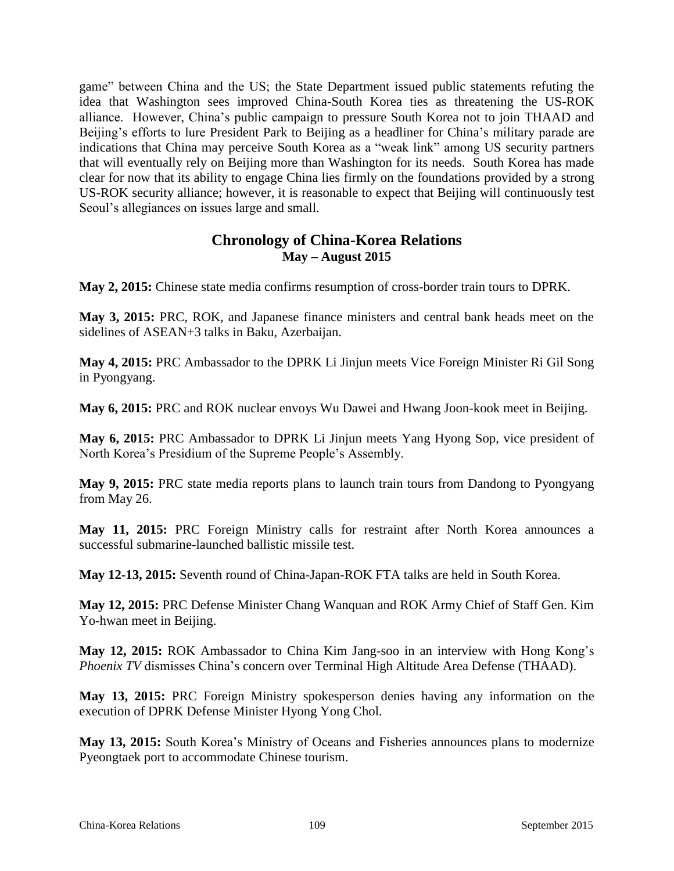game" between China and the US; the State Department issued public statements refuting the idea that Washington sees improved China-South Korea ties as threatening the US-ROK alliance. However, China's public campaign to pressure South Korea not to join THAAD and Beijing's efforts to lure President Park to Beijing as a headliner for China's military parade are indications that China may perceive South Korea as a "weak link" among US security partners that will eventually rely on Beijing more than Washington for its needs. South Korea has made clear for now that its ability to engage China lies firmly on the foundations provided by a strong US-ROK security alliance; however, it is reasonable to expect that Beijing will continuously test Seoul's allegiances on issues large and small.

# **Chronology of China-Korea Relations May – August 2015**

**May 2, 2015:** Chinese state media confirms resumption of cross-border train tours to DPRK.

**May 3, 2015:** PRC, ROK, and Japanese finance ministers and central bank heads meet on the sidelines of ASEAN+3 talks in Baku, Azerbaijan.

**May 4, 2015:** PRC Ambassador to the DPRK Li Jinjun meets Vice Foreign Minister Ri Gil Song in Pyongyang.

**May 6, 2015:** PRC and ROK nuclear envoys Wu Dawei and Hwang Joon-kook meet in Beijing.

**May 6, 2015:** PRC Ambassador to DPRK Li Jinjun meets Yang Hyong Sop, vice president of North Korea's Presidium of the Supreme People's Assembly.

**May 9, 2015:** PRC state media reports plans to launch train tours from Dandong to Pyongyang from May 26.

**May 11, 2015:** PRC Foreign Ministry calls for restraint after North Korea announces a successful submarine-launched ballistic missile test.

**May 12-13, 2015:** Seventh round of China-Japan-ROK FTA talks are held in South Korea.

**May 12, 2015:** PRC Defense Minister Chang Wanquan and ROK Army Chief of Staff Gen. Kim Yo-hwan meet in Beijing.

**May 12, 2015:** ROK Ambassador to China Kim Jang-soo in an interview with Hong Kong's *Phoenix TV* dismisses China's concern over Terminal High Altitude Area Defense (THAAD).

**May 13, 2015:** PRC Foreign Ministry spokesperson denies having any information on the execution of DPRK Defense Minister Hyong Yong Chol.

**May 13, 2015:** South Korea's Ministry of Oceans and Fisheries announces plans to modernize Pyeongtaek port to accommodate Chinese tourism.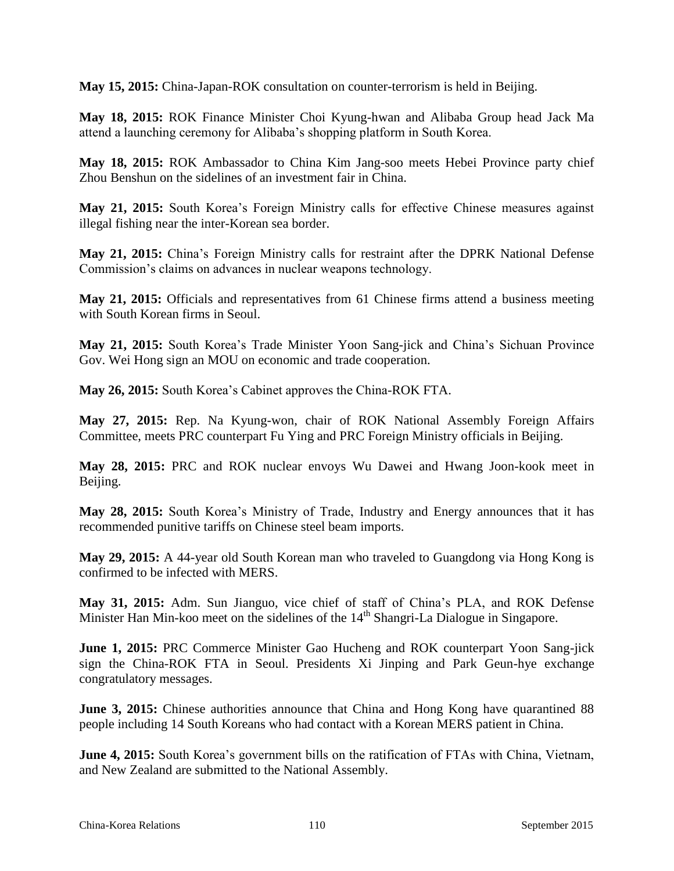**May 15, 2015:** China-Japan-ROK consultation on counter-terrorism is held in Beijing.

**May 18, 2015:** ROK Finance Minister Choi Kyung-hwan and Alibaba Group head Jack Ma attend a launching ceremony for Alibaba's shopping platform in South Korea.

**May 18, 2015:** ROK Ambassador to China Kim Jang-soo meets Hebei Province party chief Zhou Benshun on the sidelines of an investment fair in China.

**May 21, 2015:** South Korea's Foreign Ministry calls for effective Chinese measures against illegal fishing near the inter-Korean sea border.

**May 21, 2015:** China's Foreign Ministry calls for restraint after the DPRK National Defense Commission's claims on advances in nuclear weapons technology.

**May 21, 2015:** Officials and representatives from 61 Chinese firms attend a business meeting with South Korean firms in Seoul.

**May 21, 2015:** South Korea's Trade Minister Yoon Sang-jick and China's Sichuan Province Gov. Wei Hong sign an MOU on economic and trade cooperation.

**May 26, 2015:** South Korea's Cabinet approves the China-ROK FTA.

**May 27, 2015:** Rep. Na Kyung-won, chair of ROK National Assembly Foreign Affairs Committee, meets PRC counterpart Fu Ying and PRC Foreign Ministry officials in Beijing.

**May 28, 2015:** PRC and ROK nuclear envoys Wu Dawei and Hwang Joon-kook meet in Beijing.

**May 28, 2015:** South Korea's Ministry of Trade, Industry and Energy announces that it has recommended punitive tariffs on Chinese steel beam imports.

**May 29, 2015:** A 44-year old South Korean man who traveled to Guangdong via Hong Kong is confirmed to be infected with MERS.

**May 31, 2015:** Adm. Sun Jianguo, vice chief of staff of China's PLA, and ROK Defense Minister Han Min-koo meet on the sidelines of the 14<sup>th</sup> Shangri-La Dialogue in Singapore.

**June 1, 2015:** PRC Commerce Minister Gao Hucheng and ROK counterpart Yoon Sang-jick sign the China-ROK FTA in Seoul. Presidents Xi Jinping and Park Geun-hye exchange congratulatory messages.

**June 3, 2015:** Chinese authorities announce that China and Hong Kong have quarantined 88 people including 14 South Koreans who had contact with a Korean MERS patient in China.

**June 4, 2015:** South Korea's government bills on the ratification of FTAs with China, Vietnam, and New Zealand are submitted to the National Assembly.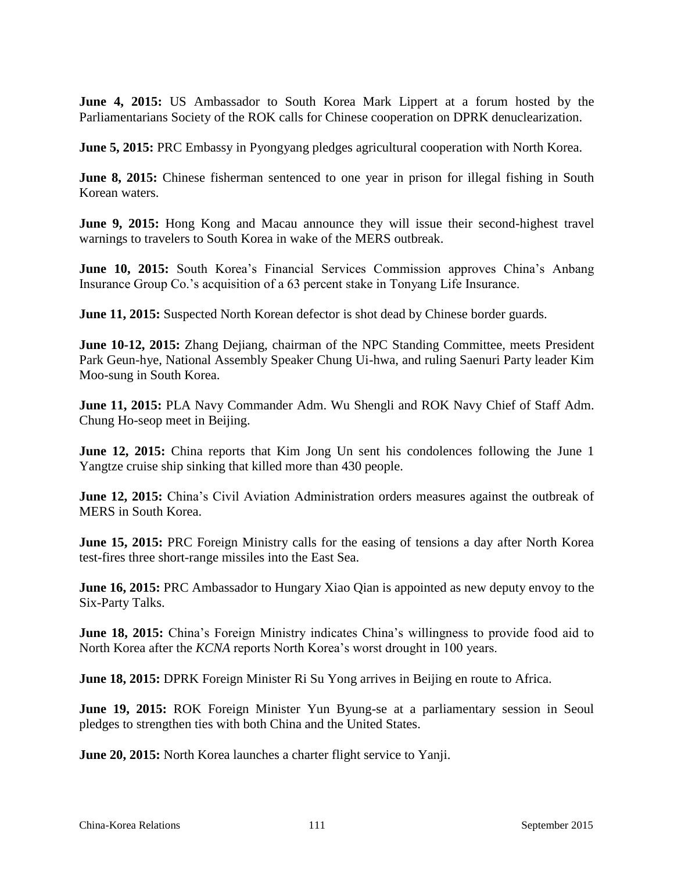**June 4, 2015:** US Ambassador to South Korea Mark Lippert at a forum hosted by the Parliamentarians Society of the ROK calls for Chinese cooperation on DPRK denuclearization.

**June 5, 2015:** PRC Embassy in Pyongyang pledges agricultural cooperation with North Korea.

**June 8, 2015:** Chinese fisherman sentenced to one year in prison for illegal fishing in South Korean waters.

**June 9, 2015:** Hong Kong and Macau announce they will issue their second-highest travel warnings to travelers to South Korea in wake of the MERS outbreak.

**June 10, 2015:** South Korea's Financial Services Commission approves China's Anbang Insurance Group Co.'s acquisition of a 63 percent stake in Tonyang Life Insurance.

**June 11, 2015:** Suspected North Korean defector is shot dead by Chinese border guards.

**June 10-12, 2015:** Zhang Dejiang, chairman of the NPC Standing Committee, meets President Park Geun-hye, National Assembly Speaker Chung Ui-hwa, and ruling Saenuri Party leader Kim Moo-sung in South Korea.

**June 11, 2015:** PLA Navy Commander Adm. Wu Shengli and ROK Navy Chief of Staff Adm. Chung Ho-seop meet in Beijing.

**June 12, 2015:** China reports that Kim Jong Un sent his condolences following the June 1 Yangtze cruise ship sinking that killed more than 430 people.

**June 12, 2015:** China's Civil Aviation Administration orders measures against the outbreak of MERS in South Korea.

**June 15, 2015:** PRC Foreign Ministry calls for the easing of tensions a day after North Korea test-fires three short-range missiles into the East Sea.

**June 16, 2015:** PRC Ambassador to Hungary Xiao Qian is appointed as new deputy envoy to the Six-Party Talks.

**June 18, 2015:** China's Foreign Ministry indicates China's willingness to provide food aid to North Korea after the *KCNA* reports North Korea's worst drought in 100 years.

**June 18, 2015:** DPRK Foreign Minister Ri Su Yong arrives in Beijing en route to Africa.

**June 19, 2015:** ROK Foreign Minister Yun Byung-se at a parliamentary session in Seoul pledges to strengthen ties with both China and the United States.

**June 20, 2015:** North Korea launches a charter flight service to Yanji.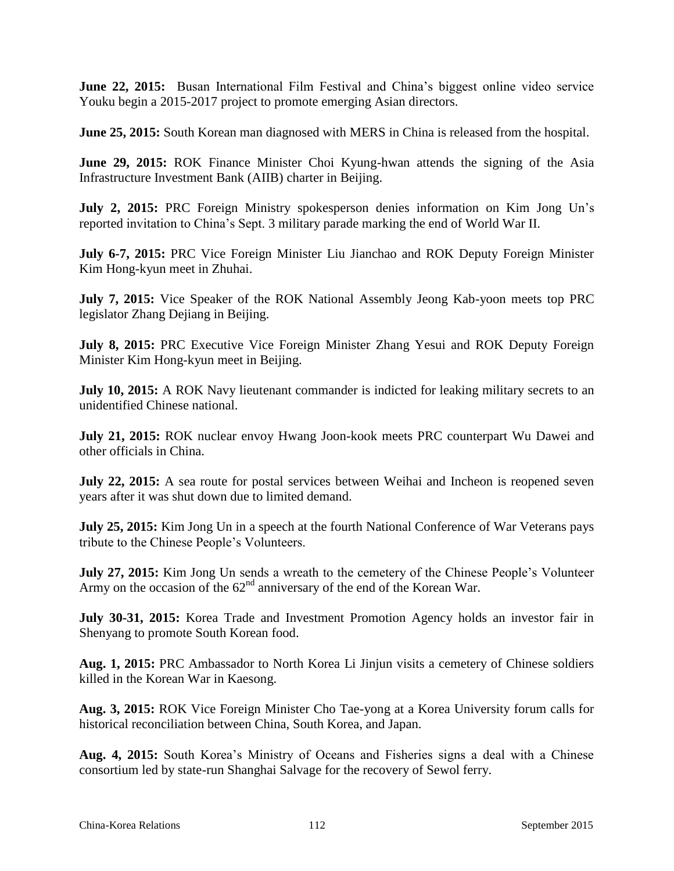**June 22, 2015:** Busan International Film Festival and China's biggest online video service Youku begin a 2015-2017 project to promote emerging Asian directors.

**June 25, 2015:** South Korean man diagnosed with MERS in China is released from the hospital.

**June 29, 2015:** ROK Finance Minister Choi Kyung-hwan attends the signing of the Asia Infrastructure Investment Bank (AIIB) charter in Beijing.

**July 2, 2015:** PRC Foreign Ministry spokesperson denies information on Kim Jong Un's reported invitation to China's Sept. 3 military parade marking the end of World War II.

**July 6-7, 2015:** PRC Vice Foreign Minister Liu Jianchao and ROK Deputy Foreign Minister Kim Hong-kyun meet in Zhuhai.

**July 7, 2015:** Vice Speaker of the ROK National Assembly Jeong Kab-yoon meets top PRC legislator Zhang Dejiang in Beijing.

**July 8, 2015:** PRC Executive Vice Foreign Minister Zhang Yesui and ROK Deputy Foreign Minister Kim Hong-kyun meet in Beijing.

**July 10, 2015:** A ROK Navy lieutenant commander is indicted for leaking military secrets to an unidentified Chinese national.

**July 21, 2015:** ROK nuclear envoy Hwang Joon-kook meets PRC counterpart Wu Dawei and other officials in China.

**July 22, 2015:** A sea route for postal services between Weihai and Incheon is reopened seven years after it was shut down due to limited demand.

**July 25, 2015:** Kim Jong Un in a speech at the fourth National Conference of War Veterans pays tribute to the Chinese People's Volunteers.

**July 27, 2015:** Kim Jong Un sends a wreath to the cemetery of the Chinese People's Volunteer Army on the occasion of the  $62<sup>nd</sup>$  anniversary of the end of the Korean War.

**July 30-31, 2015:** Korea Trade and Investment Promotion Agency holds an investor fair in Shenyang to promote South Korean food.

**Aug. 1, 2015:** PRC Ambassador to North Korea Li Jinjun visits a cemetery of Chinese soldiers killed in the Korean War in Kaesong.

**Aug. 3, 2015:** ROK Vice Foreign Minister Cho Tae-yong at a Korea University forum calls for historical reconciliation between China, South Korea, and Japan.

**Aug. 4, 2015:** South Korea's Ministry of Oceans and Fisheries signs a deal with a Chinese consortium led by state-run Shanghai Salvage for the recovery of Sewol ferry.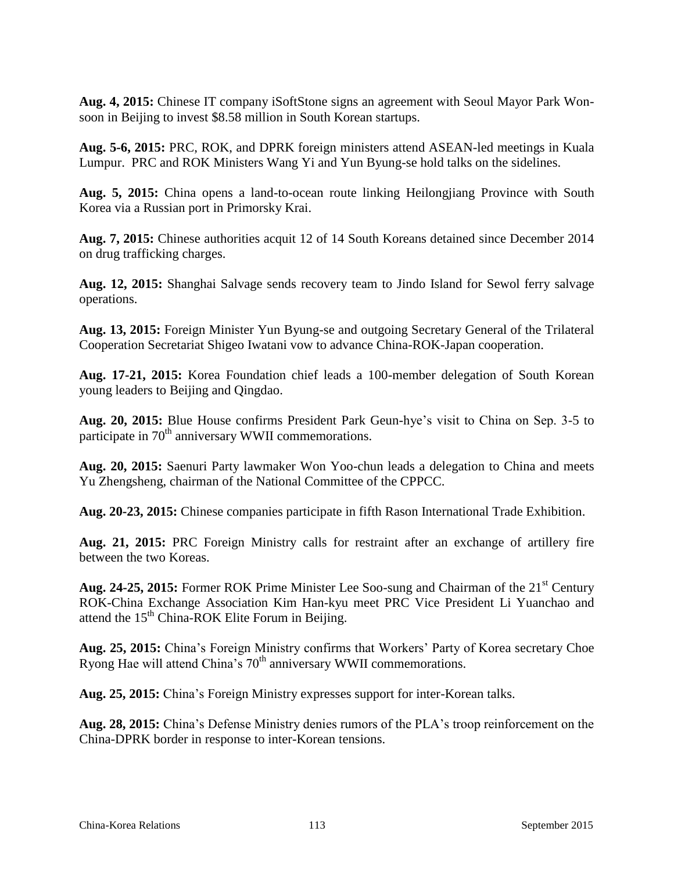**Aug. 4, 2015:** Chinese IT company iSoftStone signs an agreement with Seoul Mayor Park Wonsoon in Beijing to invest \$8.58 million in South Korean startups.

**Aug. 5-6, 2015:** PRC, ROK, and DPRK foreign ministers attend ASEAN-led meetings in Kuala Lumpur. PRC and ROK Ministers Wang Yi and Yun Byung-se hold talks on the sidelines.

**Aug. 5, 2015:** China opens a land-to-ocean route linking Heilongjiang Province with South Korea via a Russian port in Primorsky Krai.

**Aug. 7, 2015:** Chinese authorities acquit 12 of 14 South Koreans detained since December 2014 on drug trafficking charges.

**Aug. 12, 2015:** Shanghai Salvage sends recovery team to Jindo Island for Sewol ferry salvage operations.

**Aug. 13, 2015:** Foreign Minister Yun Byung-se and outgoing Secretary General of the Trilateral Cooperation Secretariat Shigeo Iwatani vow to advance China-ROK-Japan cooperation.

**Aug. 17-21, 2015:** Korea Foundation chief leads a 100-member delegation of South Korean young leaders to Beijing and Qingdao.

**Aug. 20, 2015:** Blue House confirms President Park Geun-hye's visit to China on Sep. 3-5 to participate in 70<sup>th</sup> anniversary WWII commemorations.

**Aug. 20, 2015:** Saenuri Party lawmaker Won Yoo-chun leads a delegation to China and meets Yu Zhengsheng, chairman of the National Committee of the CPPCC.

**Aug. 20-23, 2015:** Chinese companies participate in fifth Rason International Trade Exhibition.

**Aug. 21, 2015:** PRC Foreign Ministry calls for restraint after an exchange of artillery fire between the two Koreas.

Aug. 24-25, 2015: Former ROK Prime Minister Lee Soo-sung and Chairman of the 21<sup>st</sup> Century ROK-China Exchange Association Kim Han-kyu meet PRC Vice President Li Yuanchao and attend the  $15<sup>th</sup> China-ROK Elite Forum in Beijing.$ 

**Aug. 25, 2015:** China's Foreign Ministry confirms that Workers' Party of Korea secretary Choe Ryong Hae will attend China's 70<sup>th</sup> anniversary WWII commemorations.

**Aug. 25, 2015:** China's Foreign Ministry expresses support for inter-Korean talks.

**Aug. 28, 2015:** China's Defense Ministry denies rumors of the PLA's troop reinforcement on the China-DPRK border in response to inter-Korean tensions.